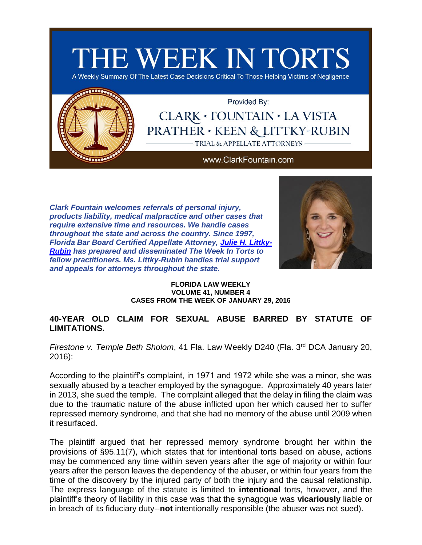



Provided By:

## CLARK · FOUNTAIN · LA VISTA **PRATHER · KEEN & LITTKY-RUBIN** TRIAL & APPELLATE ATTORNEYS

#### www.ClarkFountain.com

*Clark Fountain welcomes referrals of personal injury, products liability, medical malpractice and other cases that require extensive time and resources. We handle cases throughout the state and across the country. Since 1997, Florida Bar Board Certified Appellate Attorney, [Julie H. Littky-](http://app.bronto.com/public/?q=ulink&fn=Link&ssid=28738&id=atn8onedz0agnkxfdiaytau9k1rru&id2=3s4ntuxghs2wse5lqz175gyoao6yn&subscriber_id=1eu1zr3jzl364qpqr9ovmr0lfnh4k&delivery_id=atcnrsuompkhejscjmfouoggcseebpa&tid=3.cEI.CUNRVw.C2PE.AWdaIQ..AelcJg.b..l.B7sE.b.VEACsQ.VEA1UQ.E4Dfow&td=)[Rubin](http://app.bronto.com/public/?q=ulink&fn=Link&ssid=28738&id=atn8onedz0agnkxfdiaytau9k1rru&id2=3s4ntuxghs2wse5lqz175gyoao6yn&subscriber_id=1eu1zr3jzl364qpqr9ovmr0lfnh4k&delivery_id=atcnrsuompkhejscjmfouoggcseebpa&tid=3.cEI.CUNRVw.C2PE.AWdaIQ..AelcJg.b..l.B7sE.b.VEACsQ.VEA1UQ.E4Dfow&td=) has prepared and disseminated The Week In Torts to fellow practitioners. Ms. Littky-Rubin handles trial support and appeals for attorneys throughout the state.*



#### **FLORIDA LAW WEEKLY VOLUME 41, NUMBER 4 CASES FROM THE WEEK OF JANUARY 29, 2016**

## **40-YEAR OLD CLAIM FOR SEXUAL ABUSE BARRED BY STATUTE OF LIMITATIONS.**

*Firestone v. Temple Beth Sholom*, 41 Fla. Law Weekly D240 (Fla. 3<sup>rd</sup> DCA January 20, 2016):

According to the plaintiff's complaint, in 1971 and 1972 while she was a minor, she was sexually abused by a teacher employed by the synagogue. Approximately 40 years later in 2013, she sued the temple. The complaint alleged that the delay in filing the claim was due to the traumatic nature of the abuse inflicted upon her which caused her to suffer repressed memory syndrome, and that she had no memory of the abuse until 2009 when it resurfaced.

The plaintiff argued that her repressed memory syndrome brought her within the provisions of §95.11(7), which states that for intentional torts based on abuse, actions may be commenced any time within seven years after the age of majority or within four years after the person leaves the dependency of the abuser, or within four years from the time of the discovery by the injured party of both the injury and the causal relationship. The express language of the statute is limited to **intentional** torts, however, and the plaintiff's theory of liability in this case was that the synagogue was **vicariously** liable or in breach of its fiduciary duty--**not** intentionally responsible (the abuser was not sued).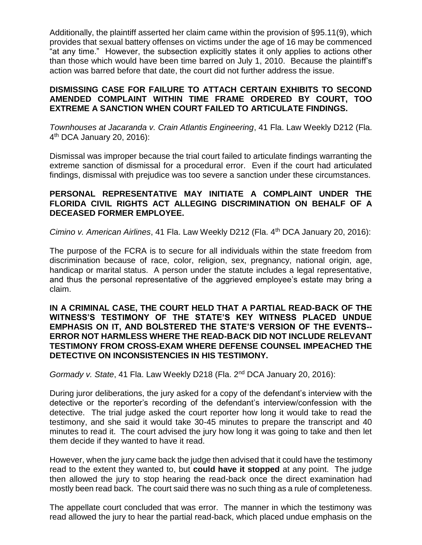Additionally, the plaintiff asserted her claim came within the provision of §95.11(9), which provides that sexual battery offenses on victims under the age of 16 may be commenced "at any time." However, the subsection explicitly states it only applies to actions other than those which would have been time barred on July 1, 2010. Because the plaintiff's action was barred before that date, the court did not further address the issue.

## **DISMISSING CASE FOR FAILURE TO ATTACH CERTAIN EXHIBITS TO SECOND AMENDED COMPLAINT WITHIN TIME FRAME ORDERED BY COURT, TOO EXTREME A SANCTION WHEN COURT FAILED TO ARTICULATE FINDINGS.**

*Townhouses at Jacaranda v. Crain Atlantis Engineering*, 41 Fla. Law Weekly D212 (Fla. 4 th DCA January 20, 2016):

Dismissal was improper because the trial court failed to articulate findings warranting the extreme sanction of dismissal for a procedural error. Even if the court had articulated findings, dismissal with prejudice was too severe a sanction under these circumstances.

#### **PERSONAL REPRESENTATIVE MAY INITIATE A COMPLAINT UNDER THE FLORIDA CIVIL RIGHTS ACT ALLEGING DISCRIMINATION ON BEHALF OF A DECEASED FORMER EMPLOYEE.**

*Cimino v. American Airlines*, 41 Fla. Law Weekly D212 (Fla. 4th DCA January 20, 2016):

The purpose of the FCRA is to secure for all individuals within the state freedom from discrimination because of race, color, religion, sex, pregnancy, national origin, age, handicap or marital status. A person under the statute includes a legal representative, and thus the personal representative of the aggrieved employee's estate may bring a claim.

#### **IN A CRIMINAL CASE, THE COURT HELD THAT A PARTIAL READ-BACK OF THE WITNESS'S TESTIMONY OF THE STATE'S KEY WITNESS PLACED UNDUE EMPHASIS ON IT, AND BOLSTERED THE STATE'S VERSION OF THE EVENTS-- ERROR NOT HARMLESS WHERE THE READ-BACK DID NOT INCLUDE RELEVANT TESTIMONY FROM CROSS-EXAM WHERE DEFENSE COUNSEL IMPEACHED THE DETECTIVE ON INCONSISTENCIES IN HIS TESTIMONY.**

*Gormady v. State*, 41 Fla. Law Weekly D218 (Fla. 2nd DCA January 20, 2016):

During juror deliberations, the jury asked for a copy of the defendant's interview with the detective or the reporter's recording of the defendant's interview/confession with the detective. The trial judge asked the court reporter how long it would take to read the testimony, and she said it would take 30-45 minutes to prepare the transcript and 40 minutes to read it. The court advised the jury how long it was going to take and then let them decide if they wanted to have it read.

However, when the jury came back the judge then advised that it could have the testimony read to the extent they wanted to, but **could have it stopped** at any point. The judge then allowed the jury to stop hearing the read-back once the direct examination had mostly been read back. The court said there was no such thing as a rule of completeness.

The appellate court concluded that was error. The manner in which the testimony was read allowed the jury to hear the partial read-back, which placed undue emphasis on the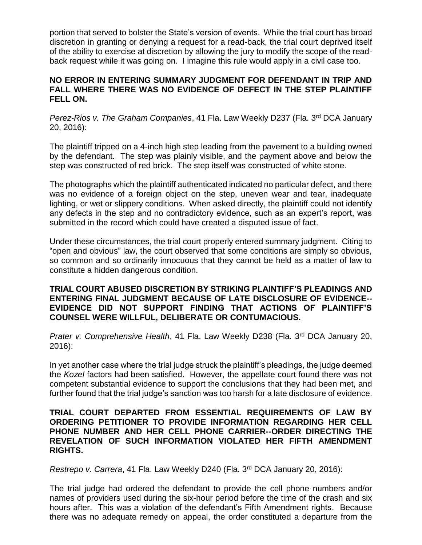portion that served to bolster the State's version of events. While the trial court has broad discretion in granting or denying a request for a read-back, the trial court deprived itself of the ability to exercise at discretion by allowing the jury to modify the scope of the readback request while it was going on. I imagine this rule would apply in a civil case too.

#### **NO ERROR IN ENTERING SUMMARY JUDGMENT FOR DEFENDANT IN TRIP AND FALL WHERE THERE WAS NO EVIDENCE OF DEFECT IN THE STEP PLAINTIFF FELL ON.**

*Perez-Rios v. The Graham Companies*, 41 Fla. Law Weekly D237 (Fla. 3rd DCA January 20, 2016):

The plaintiff tripped on a 4-inch high step leading from the pavement to a building owned by the defendant. The step was plainly visible, and the payment above and below the step was constructed of red brick. The step itself was constructed of white stone.

The photographs which the plaintiff authenticated indicated no particular defect, and there was no evidence of a foreign object on the step, uneven wear and tear, inadequate lighting, or wet or slippery conditions. When asked directly, the plaintiff could not identify any defects in the step and no contradictory evidence, such as an expert's report, was submitted in the record which could have created a disputed issue of fact.

Under these circumstances, the trial court properly entered summary judgment. Citing to "open and obvious" law, the court observed that some conditions are simply so obvious, so common and so ordinarily innocuous that they cannot be held as a matter of law to constitute a hidden dangerous condition.

## **TRIAL COURT ABUSED DISCRETION BY STRIKING PLAINTIFF'S PLEADINGS AND ENTERING FINAL JUDGMENT BECAUSE OF LATE DISCLOSURE OF EVIDENCE-- EVIDENCE DID NOT SUPPORT FINDING THAT ACTIONS OF PLAINTIFF'S COUNSEL WERE WILLFUL, DELIBERATE OR CONTUMACIOUS.**

*Prater v. Comprehensive Health*, 41 Fla. Law Weekly D238 (Fla. 3<sup>rd</sup> DCA January 20, 2016):

In yet another case where the trial judge struck the plaintiff's pleadings, the judge deemed the *Kozel* factors had been satisfied. However, the appellate court found there was not competent substantial evidence to support the conclusions that they had been met, and further found that the trial judge's sanction was too harsh for a late disclosure of evidence.

#### **TRIAL COURT DEPARTED FROM ESSENTIAL REQUIREMENTS OF LAW BY ORDERING PETITIONER TO PROVIDE INFORMATION REGARDING HER CELL PHONE NUMBER AND HER CELL PHONE CARRIER--ORDER DIRECTING THE REVELATION OF SUCH INFORMATION VIOLATED HER FIFTH AMENDMENT RIGHTS.**

*Restrepo v. Carrera*, 41 Fla. Law Weekly D240 (Fla. 3rd DCA January 20, 2016):

The trial judge had ordered the defendant to provide the cell phone numbers and/or names of providers used during the six-hour period before the time of the crash and six hours after. This was a violation of the defendant's Fifth Amendment rights. Because there was no adequate remedy on appeal, the order constituted a departure from the